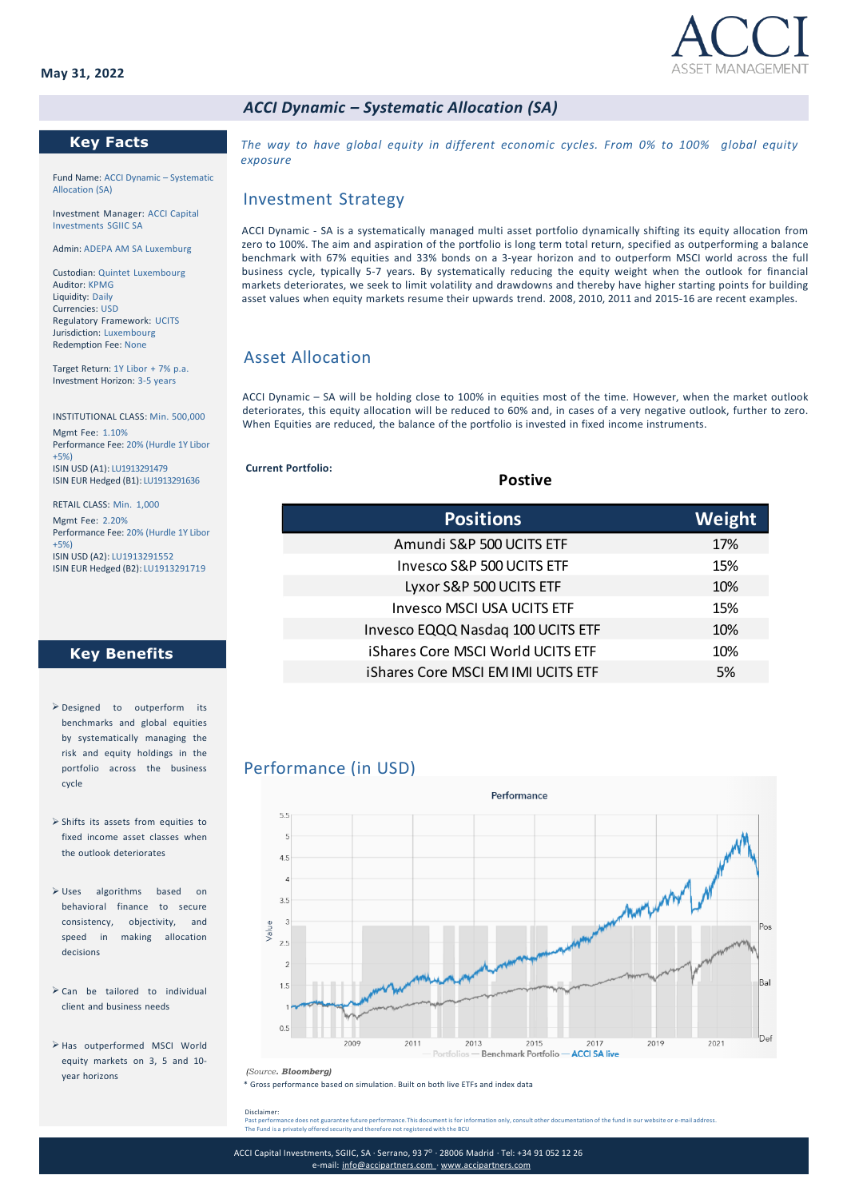

### *ACCI Dynamic – Systematic Allocation (SA)*

### **Key Facts**

Fund Name: ACCI Dynamic – Systematic Allocation (SA)

Investment Manager: ACCI Capital Investments SGIIC SA

Admin: ADEPA AM SA Luxemburg

Custodian: Quintet Luxembourg Auditor: KPMG Liquidity: Daily Currencies: USD Regulatory Framework: UCITS Jurisdiction: Luxembourg Redemption Fee: None

Target Return: 1Y Libor + 7% p.a. Investment Horizon: 3-5 years

INSTITUTIONAL CLASS: Min. 500,000

Mgmt Fee: 1.10% Performance Fee: 20% (Hurdle 1Y Libor +5%) ISIN USD (A1): LU1913291479 ISIN EUR Hedged (B1): LU1913291636

RETAIL CLASS: Min. 1,000 Mgmt Fee: 2.20% Performance Fee: 20% (Hurdle 1Y Libor +5%) ISIN USD (A2): LU1913291552 ISIN EUR Hedged (B2): LU1913291719

## **Key Benefits**

- ➢ Designed to outperform its benchmarks and global equities by systematically managing the risk and equity holdings in the portfolio across the business cycle
- ➢ Shifts its assets from equities to fixed income asset classes when the outlook deteriorates
- ➢ Uses algorithms based on behavioral finance to secure consistency, objectivity, and speed in making allocation decisions
- ➢ Can be tailored to individual client and business needs
- ➢ Has outperformed MSCI World equity markets on 3, 5 and 10 year horizons

*The way to have global equity in different economic cycles. From 0% to 100% global equity exposure*

#### Investment Strategy

ACCI Dynamic - SA is a systematically managed multi asset portfolio dynamically shifting its equity allocation from zero to 100%. The aim and aspiration of the portfolio is long term total return, specified as outperforming a balance benchmark with 67% equities and 33% bonds on a 3-year horizon and to outperform MSCI world across the full business cycle, typically 5-7 years. By systematically reducing the equity weight when the outlook for financial markets deteriorates, we seek to limit volatility and drawdowns and thereby have higher starting points for building asset values when equity markets resume their upwards trend. 2008, 2010, 2011 and 2015-16 are recent examples.

# Asset Allocation

ACCI Dynamic – SA will be holding close to 100% in equities most of the time. However, when the market outlook deteriorates, this equity allocation will be reduced to 60% and, in cases of a very negative outlook, further to zero. When Equities are reduced, the balance of the portfolio is invested in fixed income instruments.

**Postive**

**Current Portfolio:**

| <b>Positions</b>                   | Weight |
|------------------------------------|--------|
| Amundi S&P 500 UCITS ETF           | 17%    |
| Invesco S&P 500 UCITS ETF          | 15%    |
| Lyxor S&P 500 UCITS ETF            | 10%    |
| <b>Invesco MSCI USA UCITS ETF</b>  | 15%    |
| Invesco EQQQ Nasdaq 100 UCITS ETF  | 10%    |
| iShares Core MSCI World UCITS ETF  | 10%    |
| iShares Core MSCI EM IMI UCITS ETF | 5%     |
|                                    |        |

## Performance (in USD)



\* Gross performance based on simulation. Built on both live ETFs and index data *(Source. Bloomberg)*

Disclaimer: Past performance does not guarantee future performance.This document is for information only, consult other documentation of the fund in our website or e-mail address.<br>The Fund is a privately offered security and therefore